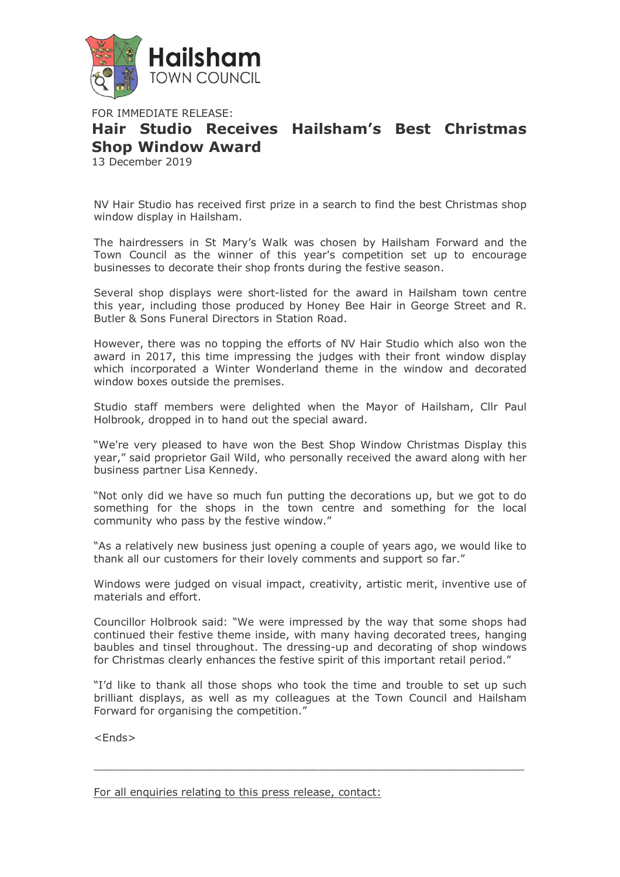

FOR IMMEDIATE RELEASE: **Hair Studio Receives Hailsham's Best Christmas Shop Window Award** 13 December 2019

NV Hair Studio has received first prize in a search to find the best Christmas shop window display in Hailsham.

The hairdressers in St Mary's Walk was chosen by Hailsham Forward and the Town Council as the winner of this year's competition set up to encourage businesses to decorate their shop fronts during the festive season.

Several shop displays were short-listed for the award in Hailsham town centre this year, including those produced by Honey Bee Hair in George Street and R. Butler & Sons Funeral Directors in Station Road.

However, there was no topping the efforts of NV Hair Studio which also won the award in 2017, this time impressing the judges with their front window display which incorporated a Winter Wonderland theme in the window and decorated window boxes outside the premises.

Studio staff members were delighted when the Mayor of Hailsham, Cllr Paul Holbrook, dropped in to hand out the special award.

"We're very pleased to have won the Best Shop Window Christmas Display this year," said proprietor Gail Wild, who personally received the award along with her business partner Lisa Kennedy.

"Not only did we have so much fun putting the decorations up, but we got to do something for the shops in the town centre and something for the local community who pass by the festive window."

"As a relatively new business just opening a couple of years ago, we would like to thank all our customers for their lovely comments and support so far."

Windows were judged on visual impact, creativity, artistic merit, inventive use of materials and effort.

Councillor Holbrook said: "We were impressed by the way that some shops had continued their festive theme inside, with many having decorated trees, hanging baubles and tinsel throughout. The dressing-up and decorating of shop windows for Christmas clearly enhances the festive spirit of this important retail period."

"I'd like to thank all those shops who took the time and trouble to set up such brilliant displays, as well as my colleagues at the Town Council and Hailsham Forward for organising the competition."

 $\Box$ 

<Ends>

For all enquiries relating to this press release, contact: